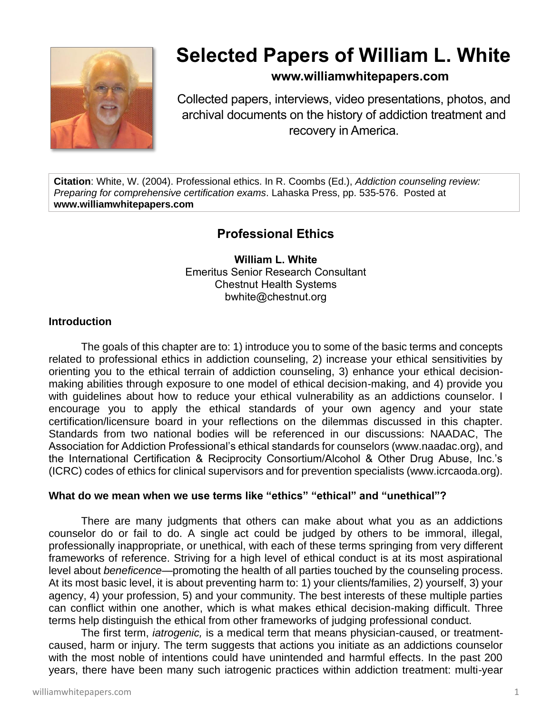

# **Selected Papers of William L. White**

# **www.williamwhitepapers.com**

Collected papers, interviews, video presentations, photos, and archival documents on the history of addiction treatment and recovery in America.

**Citation**: White, W. (2004). Professional ethics. In R. Coombs (Ed.), *Addiction counseling review: Preparing for comprehensive certification exams*. Lahaska Press, pp. 535-576. Posted at **www.williamwhitepapers.com**

# **Professional Ethics**

**William L. White** Emeritus Senior Research Consultant Chestnut Health Systems bwhite@chestnut.org

#### **Introduction**

The goals of this chapter are to: 1) introduce you to some of the basic terms and concepts related to professional ethics in addiction counseling, 2) increase your ethical sensitivities by orienting you to the ethical terrain of addiction counseling, 3) enhance your ethical decisionmaking abilities through exposure to one model of ethical decision-making, and 4) provide you with quidelines about how to reduce your ethical vulnerability as an addictions counselor. I encourage you to apply the ethical standards of your own agency and your state certification/licensure board in your reflections on the dilemmas discussed in this chapter. Standards from two national bodies will be referenced in our discussions: NAADAC, The Association for Addiction Professional's ethical standards for counselors (www.naadac.org), and the International Certification & Reciprocity Consortium/Alcohol & Other Drug Abuse, Inc.'s (ICRC) codes of ethics for clinical supervisors and for prevention specialists (www.icrcaoda.org).

#### **What do we mean when we use terms like "ethics" "ethical" and "unethical"?**

There are many judgments that others can make about what you as an addictions counselor do or fail to do. A single act could be judged by others to be immoral, illegal, professionally inappropriate, or unethical, with each of these terms springing from very different frameworks of reference. Striving for a high level of ethical conduct is at its most aspirational level about *beneficence*—promoting the health of all parties touched by the counseling process. At its most basic level, it is about preventing harm to: 1) your clients/families, 2) yourself, 3) your agency, 4) your profession, 5) and your community. The best interests of these multiple parties can conflict within one another, which is what makes ethical decision-making difficult. Three terms help distinguish the ethical from other frameworks of judging professional conduct.

The first term, *iatrogenic,* is a medical term that means physician-caused, or treatmentcaused, harm or injury. The term suggests that actions you initiate as an addictions counselor with the most noble of intentions could have unintended and harmful effects. In the past 200 years, there have been many such iatrogenic practices within addiction treatment: multi-year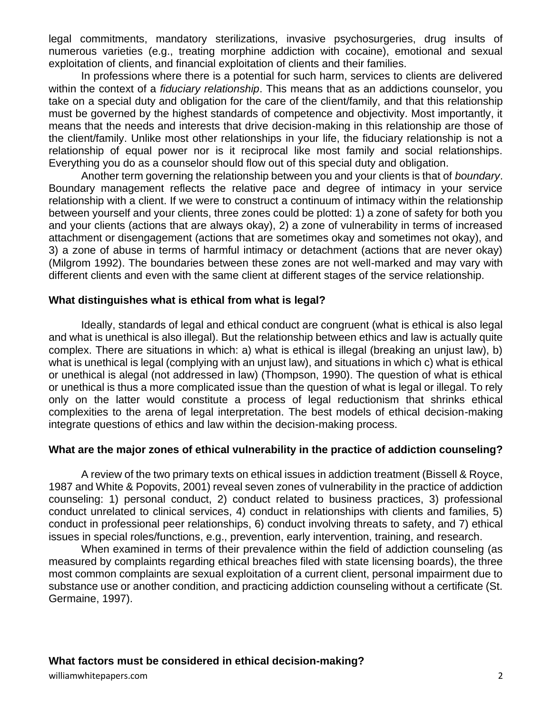legal commitments, mandatory sterilizations, invasive psychosurgeries, drug insults of numerous varieties (e.g., treating morphine addiction with cocaine), emotional and sexual exploitation of clients, and financial exploitation of clients and their families.

In professions where there is a potential for such harm, services to clients are delivered within the context of a *fiduciary relationship*. This means that as an addictions counselor, you take on a special duty and obligation for the care of the client/family, and that this relationship must be governed by the highest standards of competence and objectivity. Most importantly, it means that the needs and interests that drive decision-making in this relationship are those of the client/family. Unlike most other relationships in your life, the fiduciary relationship is not a relationship of equal power nor is it reciprocal like most family and social relationships. Everything you do as a counselor should flow out of this special duty and obligation.

Another term governing the relationship between you and your clients is that of *boundary*. Boundary management reflects the relative pace and degree of intimacy in your service relationship with a client. If we were to construct a continuum of intimacy within the relationship between yourself and your clients, three zones could be plotted: 1) a zone of safety for both you and your clients (actions that are always okay), 2) a zone of vulnerability in terms of increased attachment or disengagement (actions that are sometimes okay and sometimes not okay), and 3) a zone of abuse in terms of harmful intimacy or detachment (actions that are never okay) (Milgrom 1992). The boundaries between these zones are not well-marked and may vary with different clients and even with the same client at different stages of the service relationship.

#### **What distinguishes what is ethical from what is legal?**

Ideally, standards of legal and ethical conduct are congruent (what is ethical is also legal and what is unethical is also illegal). But the relationship between ethics and law is actually quite complex. There are situations in which: a) what is ethical is illegal (breaking an unjust law), b) what is unethical is legal (complying with an unjust law), and situations in which c) what is ethical or unethical is alegal (not addressed in law) (Thompson, 1990). The question of what is ethical or unethical is thus a more complicated issue than the question of what is legal or illegal. To rely only on the latter would constitute a process of legal reductionism that shrinks ethical complexities to the arena of legal interpretation. The best models of ethical decision-making integrate questions of ethics and law within the decision-making process.

#### **What are the major zones of ethical vulnerability in the practice of addiction counseling?**

A review of the two primary texts on ethical issues in addiction treatment (Bissell & Royce, 1987 and White & Popovits, 2001) reveal seven zones of vulnerability in the practice of addiction counseling: 1) personal conduct, 2) conduct related to business practices, 3) professional conduct unrelated to clinical services, 4) conduct in relationships with clients and families, 5) conduct in professional peer relationships, 6) conduct involving threats to safety, and 7) ethical issues in special roles/functions, e.g., prevention, early intervention, training, and research.

When examined in terms of their prevalence within the field of addiction counseling (as measured by complaints regarding ethical breaches filed with state licensing boards), the three most common complaints are sexual exploitation of a current client, personal impairment due to substance use or another condition, and practicing addiction counseling without a certificate (St. Germaine, 1997).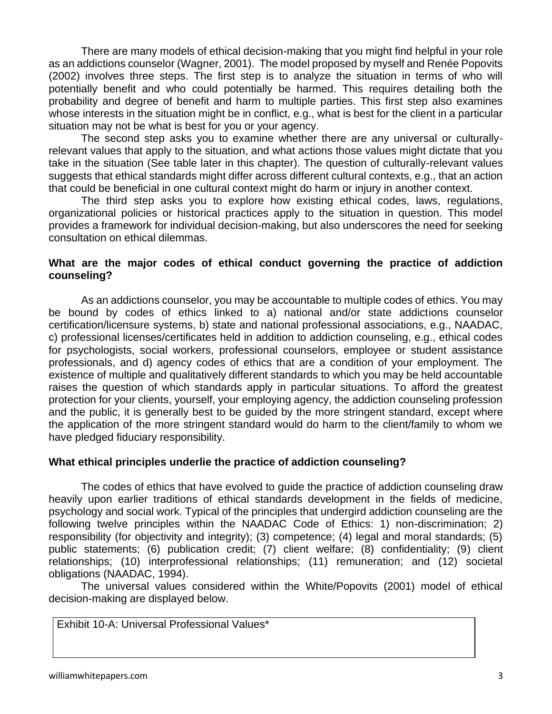There are many models of ethical decision-making that you might find helpful in your role as an addictions counselor (Wagner, 2001). The model proposed by myself and Renée Popovits (2002) involves three steps. The first step is to analyze the situation in terms of who will potentially benefit and who could potentially be harmed. This requires detailing both the probability and degree of benefit and harm to multiple parties. This first step also examines whose interests in the situation might be in conflict, e.g., what is best for the client in a particular situation may not be what is best for you or your agency.

The second step asks you to examine whether there are any universal or culturallyrelevant values that apply to the situation, and what actions those values might dictate that you take in the situation (See table later in this chapter). The question of culturally-relevant values suggests that ethical standards might differ across different cultural contexts, e.g., that an action that could be beneficial in one cultural context might do harm or injury in another context.

The third step asks you to explore how existing ethical codes, laws, regulations, organizational policies or historical practices apply to the situation in question. This model provides a framework for individual decision-making, but also underscores the need for seeking consultation on ethical dilemmas.

## **What are the major codes of ethical conduct governing the practice of addiction counseling?**

As an addictions counselor, you may be accountable to multiple codes of ethics. You may be bound by codes of ethics linked to a) national and/or state addictions counselor certification/licensure systems, b) state and national professional associations, e.g., NAADAC, c) professional licenses/certificates held in addition to addiction counseling, e.g., ethical codes for psychologists, social workers, professional counselors, employee or student assistance professionals, and d) agency codes of ethics that are a condition of your employment. The existence of multiple and qualitatively different standards to which you may be held accountable raises the question of which standards apply in particular situations. To afford the greatest protection for your clients, yourself, your employing agency, the addiction counseling profession and the public, it is generally best to be guided by the more stringent standard, except where the application of the more stringent standard would do harm to the client/family to whom we have pledged fiduciary responsibility.

#### **What ethical principles underlie the practice of addiction counseling?**

The codes of ethics that have evolved to guide the practice of addiction counseling draw heavily upon earlier traditions of ethical standards development in the fields of medicine, psychology and social work. Typical of the principles that undergird addiction counseling are the following twelve principles within the NAADAC Code of Ethics: 1) non-discrimination; 2) responsibility (for objectivity and integrity); (3) competence; (4) legal and moral standards; (5) public statements; (6) publication credit; (7) client welfare; (8) confidentiality; (9) client relationships; (10) interprofessional relationships; (11) remuneration; and (12) societal obligations (NAADAC, 1994).

The universal values considered within the White/Popovits (2001) model of ethical decision-making are displayed below.

Exhibit 10-A: Universal Professional Values\*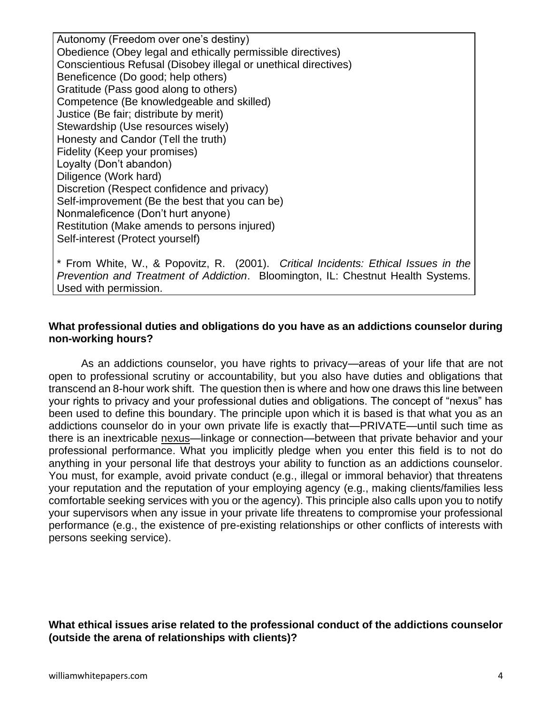Autonomy (Freedom over one's destiny) Obedience (Obey legal and ethically permissible directives) Conscientious Refusal (Disobey illegal or unethical directives) Beneficence (Do good; help others) Gratitude (Pass good along to others) Competence (Be knowledgeable and skilled) Justice (Be fair; distribute by merit) Stewardship (Use resources wisely) Honesty and Candor (Tell the truth) Fidelity (Keep your promises) Loyalty (Don't abandon) Diligence (Work hard) Discretion (Respect confidence and privacy) Self-improvement (Be the best that you can be) Nonmaleficence (Don't hurt anyone) Restitution (Make amends to persons injured) Self-interest (Protect yourself)

\* From White, W., & Popovitz, R. (2001). *Critical Incidents: Ethical Issues in the Prevention and Treatment of Addiction*. Bloomington, IL: Chestnut Health Systems. Used with permission.

#### **What professional duties and obligations do you have as an addictions counselor during non-working hours?**

As an addictions counselor, you have rights to privacy—areas of your life that are not open to professional scrutiny or accountability, but you also have duties and obligations that transcend an 8-hour work shift. The question then is where and how one draws this line between your rights to privacy and your professional duties and obligations. The concept of "nexus" has been used to define this boundary. The principle upon which it is based is that what you as an addictions counselor do in your own private life is exactly that—PRIVATE—until such time as there is an inextricable nexus—linkage or connection—between that private behavior and your professional performance. What you implicitly pledge when you enter this field is to not do anything in your personal life that destroys your ability to function as an addictions counselor. You must, for example, avoid private conduct (e.g., illegal or immoral behavior) that threatens your reputation and the reputation of your employing agency (e.g., making clients/families less comfortable seeking services with you or the agency). This principle also calls upon you to notify your supervisors when any issue in your private life threatens to compromise your professional performance (e.g., the existence of pre-existing relationships or other conflicts of interests with persons seeking service).

#### **What ethical issues arise related to the professional conduct of the addictions counselor (outside the arena of relationships with clients)?**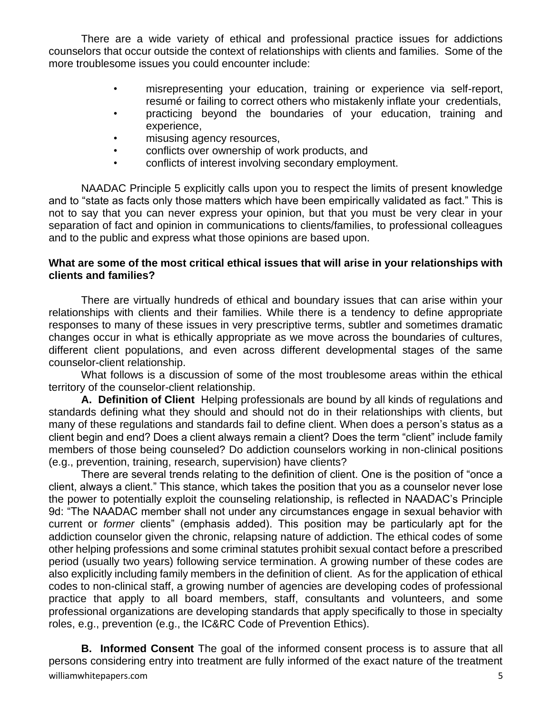There are a wide variety of ethical and professional practice issues for addictions counselors that occur outside the context of relationships with clients and families. Some of the more troublesome issues you could encounter include:

- misrepresenting your education, training or experience via self-report, resumé or failing to correct others who mistakenly inflate your credentials,
- practicing beyond the boundaries of your education, training and experience,
- misusing agency resources,
- conflicts over ownership of work products, and
- conflicts of interest involving secondary employment.

NAADAC Principle 5 explicitly calls upon you to respect the limits of present knowledge and to "state as facts only those matters which have been empirically validated as fact." This is not to say that you can never express your opinion, but that you must be very clear in your separation of fact and opinion in communications to clients/families, to professional colleagues and to the public and express what those opinions are based upon.

#### **What are some of the most critical ethical issues that will arise in your relationships with clients and families?**

There are virtually hundreds of ethical and boundary issues that can arise within your relationships with clients and their families. While there is a tendency to define appropriate responses to many of these issues in very prescriptive terms, subtler and sometimes dramatic changes occur in what is ethically appropriate as we move across the boundaries of cultures, different client populations, and even across different developmental stages of the same counselor-client relationship.

What follows is a discussion of some of the most troublesome areas within the ethical territory of the counselor-client relationship.

**A. Definition of Client** Helping professionals are bound by all kinds of regulations and standards defining what they should and should not do in their relationships with clients, but many of these regulations and standards fail to define client. When does a person's status as a client begin and end? Does a client always remain a client? Does the term "client" include family members of those being counseled? Do addiction counselors working in non-clinical positions (e.g., prevention, training, research, supervision) have clients?

There are several trends relating to the definition of client. One is the position of "once a client, always a client." This stance, which takes the position that you as a counselor never lose the power to potentially exploit the counseling relationship, is reflected in NAADAC's Principle 9d: "The NAADAC member shall not under any circumstances engage in sexual behavior with current or *former* clients" (emphasis added). This position may be particularly apt for the addiction counselor given the chronic, relapsing nature of addiction. The ethical codes of some other helping professions and some criminal statutes prohibit sexual contact before a prescribed period (usually two years) following service termination. A growing number of these codes are also explicitly including family members in the definition of client. As for the application of ethical codes to non-clinical staff, a growing number of agencies are developing codes of professional practice that apply to all board members, staff, consultants and volunteers, and some professional organizations are developing standards that apply specifically to those in specialty roles, e.g., prevention (e.g., the IC&RC Code of Prevention Ethics).

williamwhitepapers.com 5 **B. Informed Consent** The goal of the informed consent process is to assure that all persons considering entry into treatment are fully informed of the exact nature of the treatment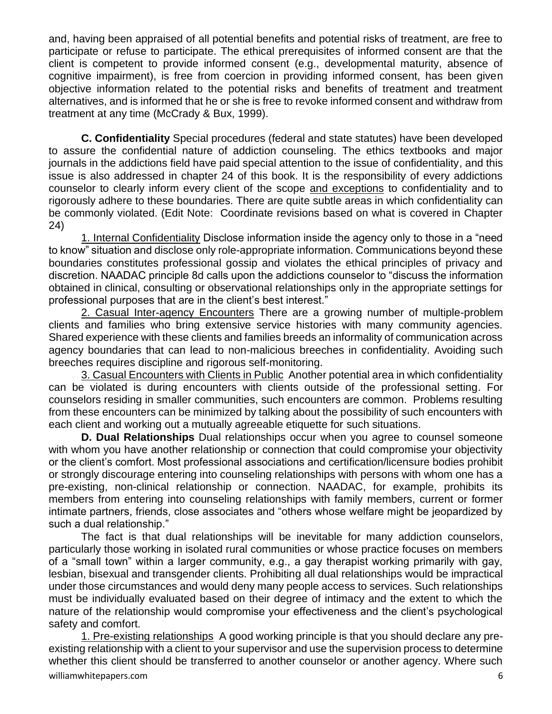and, having been appraised of all potential benefits and potential risks of treatment, are free to participate or refuse to participate. The ethical prerequisites of informed consent are that the client is competent to provide informed consent (e.g., developmental maturity, absence of cognitive impairment), is free from coercion in providing informed consent, has been given objective information related to the potential risks and benefits of treatment and treatment alternatives, and is informed that he or she is free to revoke informed consent and withdraw from treatment at any time (McCrady & Bux, 1999).

**C. Confidentiality** Special procedures (federal and state statutes) have been developed to assure the confidential nature of addiction counseling. The ethics textbooks and major journals in the addictions field have paid special attention to the issue of confidentiality, and this issue is also addressed in chapter 24 of this book. It is the responsibility of every addictions counselor to clearly inform every client of the scope and exceptions to confidentiality and to rigorously adhere to these boundaries. There are quite subtle areas in which confidentiality can be commonly violated. (Edit Note: Coordinate revisions based on what is covered in Chapter 24)

1. Internal Confidentiality Disclose information inside the agency only to those in a "need to know" situation and disclose only role-appropriate information. Communications beyond these boundaries constitutes professional gossip and violates the ethical principles of privacy and discretion. NAADAC principle 8d calls upon the addictions counselor to "discuss the information obtained in clinical, consulting or observational relationships only in the appropriate settings for professional purposes that are in the client's best interest."

2. Casual Inter-agency Encounters There are a growing number of multiple-problem clients and families who bring extensive service histories with many community agencies. Shared experience with these clients and families breeds an informality of communication across agency boundaries that can lead to non-malicious breeches in confidentiality. Avoiding such breeches requires discipline and rigorous self-monitoring.

3. Casual Encounters with Clients in Public Another potential area in which confidentiality can be violated is during encounters with clients outside of the professional setting. For counselors residing in smaller communities, such encounters are common. Problems resulting from these encounters can be minimized by talking about the possibility of such encounters with each client and working out a mutually agreeable etiquette for such situations.

**D. Dual Relationships** Dual relationships occur when you agree to counsel someone with whom you have another relationship or connection that could compromise your objectivity or the client's comfort. Most professional associations and certification/licensure bodies prohibit or strongly discourage entering into counseling relationships with persons with whom one has a pre-existing, non-clinical relationship or connection. NAADAC, for example, prohibits its members from entering into counseling relationships with family members, current or former intimate partners, friends, close associates and "others whose welfare might be jeopardized by such a dual relationship."

The fact is that dual relationships will be inevitable for many addiction counselors, particularly those working in isolated rural communities or whose practice focuses on members of a "small town" within a larger community, e.g., a gay therapist working primarily with gay, lesbian, bisexual and transgender clients. Prohibiting all dual relationships would be impractical under those circumstances and would deny many people access to services. Such relationships must be individually evaluated based on their degree of intimacy and the extent to which the nature of the relationship would compromise your effectiveness and the client's psychological safety and comfort.

williamwhitepapers.com 6 1. Pre-existing relationships A good working principle is that you should declare any preexisting relationship with a client to your supervisor and use the supervision process to determine whether this client should be transferred to another counselor or another agency. Where such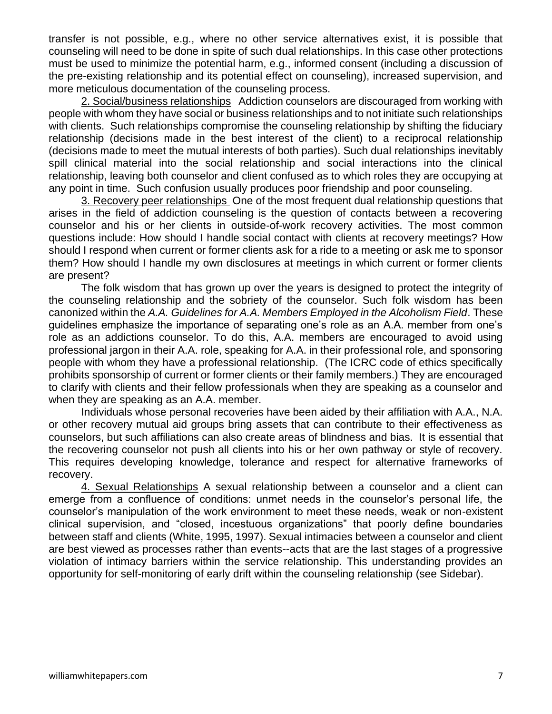transfer is not possible, e.g., where no other service alternatives exist, it is possible that counseling will need to be done in spite of such dual relationships. In this case other protections must be used to minimize the potential harm, e.g., informed consent (including a discussion of the pre-existing relationship and its potential effect on counseling), increased supervision, and more meticulous documentation of the counseling process.

2. Social/business relationships Addiction counselors are discouraged from working with people with whom they have social or business relationships and to not initiate such relationships with clients. Such relationships compromise the counseling relationship by shifting the fiduciary relationship (decisions made in the best interest of the client) to a reciprocal relationship (decisions made to meet the mutual interests of both parties). Such dual relationships inevitably spill clinical material into the social relationship and social interactions into the clinical relationship, leaving both counselor and client confused as to which roles they are occupying at any point in time. Such confusion usually produces poor friendship and poor counseling.

3. Recovery peer relationships One of the most frequent dual relationship questions that arises in the field of addiction counseling is the question of contacts between a recovering counselor and his or her clients in outside-of-work recovery activities. The most common questions include: How should I handle social contact with clients at recovery meetings? How should I respond when current or former clients ask for a ride to a meeting or ask me to sponsor them? How should I handle my own disclosures at meetings in which current or former clients are present?

The folk wisdom that has grown up over the years is designed to protect the integrity of the counseling relationship and the sobriety of the counselor. Such folk wisdom has been canonized within the *A.A. Guidelines for A.A. Members Employed in the Alcoholism Field*. These guidelines emphasize the importance of separating one's role as an A.A. member from one's role as an addictions counselor. To do this, A.A. members are encouraged to avoid using professional jargon in their A.A. role, speaking for A.A. in their professional role, and sponsoring people with whom they have a professional relationship. (The ICRC code of ethics specifically prohibits sponsorship of current or former clients or their family members.) They are encouraged to clarify with clients and their fellow professionals when they are speaking as a counselor and when they are speaking as an A.A. member.

Individuals whose personal recoveries have been aided by their affiliation with A.A., N.A. or other recovery mutual aid groups bring assets that can contribute to their effectiveness as counselors, but such affiliations can also create areas of blindness and bias. It is essential that the recovering counselor not push all clients into his or her own pathway or style of recovery. This requires developing knowledge, tolerance and respect for alternative frameworks of recovery.

4. Sexual Relationships A sexual relationship between a counselor and a client can emerge from a confluence of conditions: unmet needs in the counselor's personal life, the counselor's manipulation of the work environment to meet these needs, weak or non-existent clinical supervision, and "closed, incestuous organizations" that poorly define boundaries between staff and clients (White, 1995, 1997). Sexual intimacies between a counselor and client are best viewed as processes rather than events--acts that are the last stages of a progressive violation of intimacy barriers within the service relationship. This understanding provides an opportunity for self-monitoring of early drift within the counseling relationship (see Sidebar).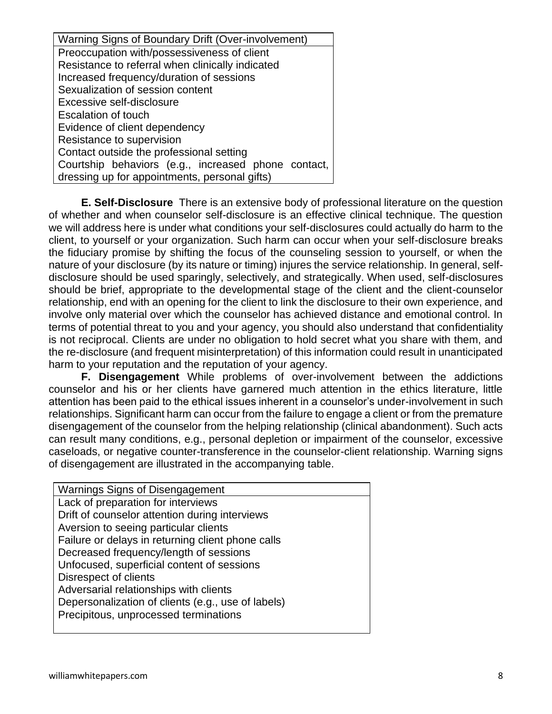| Warning Signs of Boundary Drift (Over-involvement)  |
|-----------------------------------------------------|
| Preoccupation with/possessiveness of client         |
| Resistance to referral when clinically indicated    |
| Increased frequency/duration of sessions            |
| Sexualization of session content                    |
| Excessive self-disclosure                           |
| Escalation of touch                                 |
| Evidence of client dependency                       |
| Resistance to supervision                           |
| Contact outside the professional setting            |
| Courtship behaviors (e.g., increased phone contact, |
| dressing up for appointments, personal gifts)       |

**E. Self-Disclosure** There is an extensive body of professional literature on the question of whether and when counselor self-disclosure is an effective clinical technique. The question we will address here is under what conditions your self-disclosures could actually do harm to the client, to yourself or your organization. Such harm can occur when your self-disclosure breaks the fiduciary promise by shifting the focus of the counseling session to yourself, or when the nature of your disclosure (by its nature or timing) injures the service relationship. In general, selfdisclosure should be used sparingly, selectively, and strategically. When used, self-disclosures should be brief, appropriate to the developmental stage of the client and the client-counselor relationship, end with an opening for the client to link the disclosure to their own experience, and involve only material over which the counselor has achieved distance and emotional control. In terms of potential threat to you and your agency, you should also understand that confidentiality is not reciprocal. Clients are under no obligation to hold secret what you share with them, and the re-disclosure (and frequent misinterpretation) of this information could result in unanticipated harm to your reputation and the reputation of your agency.

**F. Disengagement** While problems of over-involvement between the addictions counselor and his or her clients have garnered much attention in the ethics literature, little attention has been paid to the ethical issues inherent in a counselor's under-involvement in such relationships. Significant harm can occur from the failure to engage a client or from the premature disengagement of the counselor from the helping relationship (clinical abandonment). Such acts can result many conditions, e.g., personal depletion or impairment of the counselor, excessive caseloads, or negative counter-transference in the counselor-client relationship. Warning signs of disengagement are illustrated in the accompanying table.

Warnings Signs of Disengagement Lack of preparation for interviews Drift of counselor attention during interviews Aversion to seeing particular clients Failure or delays in returning client phone calls Decreased frequency/length of sessions Unfocused, superficial content of sessions Disrespect of clients Adversarial relationships with clients Depersonalization of clients (e.g., use of labels) Precipitous, unprocessed terminations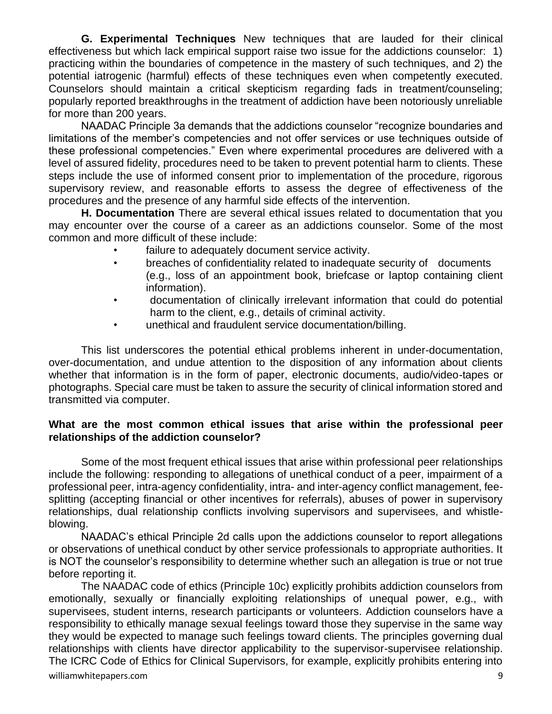**G. Experimental Techniques** New techniques that are lauded for their clinical effectiveness but which lack empirical support raise two issue for the addictions counselor: 1) practicing within the boundaries of competence in the mastery of such techniques, and 2) the potential iatrogenic (harmful) effects of these techniques even when competently executed. Counselors should maintain a critical skepticism regarding fads in treatment/counseling; popularly reported breakthroughs in the treatment of addiction have been notoriously unreliable for more than 200 years.

NAADAC Principle 3a demands that the addictions counselor "recognize boundaries and limitations of the member's competencies and not offer services or use techniques outside of these professional competencies." Even where experimental procedures are delivered with a level of assured fidelity, procedures need to be taken to prevent potential harm to clients. These steps include the use of informed consent prior to implementation of the procedure, rigorous supervisory review, and reasonable efforts to assess the degree of effectiveness of the procedures and the presence of any harmful side effects of the intervention.

**H. Documentation** There are several ethical issues related to documentation that you may encounter over the course of a career as an addictions counselor. Some of the most common and more difficult of these include:

- failure to adequately document service activity.
- breaches of confidentiality related to inadequate security of documents (e.g., loss of an appointment book, briefcase or laptop containing client information).
- documentation of clinically irrelevant information that could do potential harm to the client, e.g., details of criminal activity.
- unethical and fraudulent service documentation/billing.

This list underscores the potential ethical problems inherent in under-documentation, over-documentation, and undue attention to the disposition of any information about clients whether that information is in the form of paper, electronic documents, audio/video-tapes or photographs. Special care must be taken to assure the security of clinical information stored and transmitted via computer.

#### **What are the most common ethical issues that arise within the professional peer relationships of the addiction counselor?**

Some of the most frequent ethical issues that arise within professional peer relationships include the following: responding to allegations of unethical conduct of a peer, impairment of a professional peer, intra-agency confidentiality, intra- and inter-agency conflict management, feesplitting (accepting financial or other incentives for referrals), abuses of power in supervisory relationships, dual relationship conflicts involving supervisors and supervisees, and whistleblowing.

NAADAC's ethical Principle 2d calls upon the addictions counselor to report allegations or observations of unethical conduct by other service professionals to appropriate authorities. It is NOT the counselor's responsibility to determine whether such an allegation is true or not true before reporting it.

williamwhitepapers.com 9 The NAADAC code of ethics (Principle 10c) explicitly prohibits addiction counselors from emotionally, sexually or financially exploiting relationships of unequal power, e.g., with supervisees, student interns, research participants or volunteers. Addiction counselors have a responsibility to ethically manage sexual feelings toward those they supervise in the same way they would be expected to manage such feelings toward clients. The principles governing dual relationships with clients have director applicability to the supervisor-supervisee relationship. The ICRC Code of Ethics for Clinical Supervisors, for example, explicitly prohibits entering into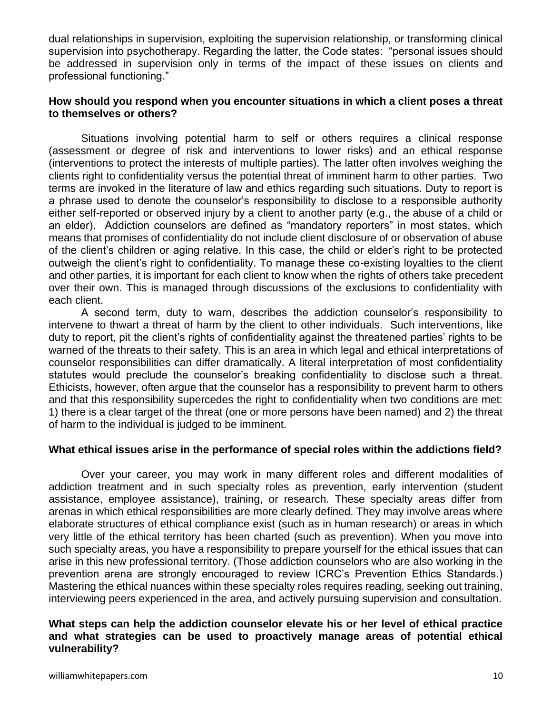dual relationships in supervision, exploiting the supervision relationship, or transforming clinical supervision into psychotherapy. Regarding the latter, the Code states: "personal issues should be addressed in supervision only in terms of the impact of these issues on clients and professional functioning."

#### **How should you respond when you encounter situations in which a client poses a threat to themselves or others?**

Situations involving potential harm to self or others requires a clinical response (assessment or degree of risk and interventions to lower risks) and an ethical response (interventions to protect the interests of multiple parties). The latter often involves weighing the clients right to confidentiality versus the potential threat of imminent harm to other parties. Two terms are invoked in the literature of law and ethics regarding such situations. Duty to report is a phrase used to denote the counselor's responsibility to disclose to a responsible authority either self-reported or observed injury by a client to another party (e.g., the abuse of a child or an elder). Addiction counselors are defined as "mandatory reporters" in most states, which means that promises of confidentiality do not include client disclosure of or observation of abuse of the client's children or aging relative. In this case, the child or elder's right to be protected outweigh the client's right to confidentiality. To manage these co-existing loyalties to the client and other parties, it is important for each client to know when the rights of others take precedent over their own. This is managed through discussions of the exclusions to confidentiality with each client.

A second term, duty to warn, describes the addiction counselor's responsibility to intervene to thwart a threat of harm by the client to other individuals. Such interventions, like duty to report, pit the client's rights of confidentiality against the threatened parties' rights to be warned of the threats to their safety. This is an area in which legal and ethical interpretations of counselor responsibilities can differ dramatically. A literal interpretation of most confidentiality statutes would preclude the counselor's breaking confidentiality to disclose such a threat. Ethicists, however, often argue that the counselor has a responsibility to prevent harm to others and that this responsibility supercedes the right to confidentiality when two conditions are met: 1) there is a clear target of the threat (one or more persons have been named) and 2) the threat of harm to the individual is judged to be imminent.

#### **What ethical issues arise in the performance of special roles within the addictions field?**

Over your career, you may work in many different roles and different modalities of addiction treatment and in such specialty roles as prevention, early intervention (student assistance, employee assistance), training, or research. These specialty areas differ from arenas in which ethical responsibilities are more clearly defined. They may involve areas where elaborate structures of ethical compliance exist (such as in human research) or areas in which very little of the ethical territory has been charted (such as prevention). When you move into such specialty areas, you have a responsibility to prepare yourself for the ethical issues that can arise in this new professional territory. (Those addiction counselors who are also working in the prevention arena are strongly encouraged to review ICRC's Prevention Ethics Standards.) Mastering the ethical nuances within these specialty roles requires reading, seeking out training, interviewing peers experienced in the area, and actively pursuing supervision and consultation.

#### **What steps can help the addiction counselor elevate his or her level of ethical practice and what strategies can be used to proactively manage areas of potential ethical vulnerability?**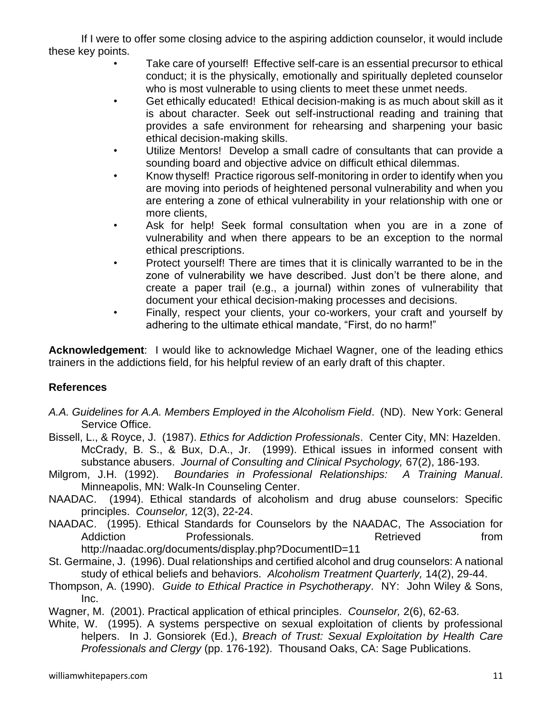If I were to offer some closing advice to the aspiring addiction counselor, it would include these key points.

- Take care of yourself! Effective self-care is an essential precursor to ethical conduct; it is the physically, emotionally and spiritually depleted counselor who is most vulnerable to using clients to meet these unmet needs.
- Get ethically educated! Ethical decision-making is as much about skill as it is about character. Seek out self-instructional reading and training that provides a safe environment for rehearsing and sharpening your basic ethical decision-making skills.
- Utilize Mentors! Develop a small cadre of consultants that can provide a sounding board and objective advice on difficult ethical dilemmas.
- Know thyself! Practice rigorous self-monitoring in order to identify when you are moving into periods of heightened personal vulnerability and when you are entering a zone of ethical vulnerability in your relationship with one or more clients,
- Ask for help! Seek formal consultation when you are in a zone of vulnerability and when there appears to be an exception to the normal ethical prescriptions.
- Protect yourself! There are times that it is clinically warranted to be in the zone of vulnerability we have described. Just don't be there alone, and create a paper trail (e.g., a journal) within zones of vulnerability that document your ethical decision-making processes and decisions.
- Finally, respect your clients, your co-workers, your craft and yourself by adhering to the ultimate ethical mandate, "First, do no harm!"

**Acknowledgement**: I would like to acknowledge Michael Wagner, one of the leading ethics trainers in the addictions field, for his helpful review of an early draft of this chapter.

# **References**

- *A.A. Guidelines for A.A. Members Employed in the Alcoholism Field*. (ND). New York: General Service Office.
- Bissell, L., & Royce, J. (1987). *Ethics for Addiction Professionals*. Center City, MN: Hazelden. McCrady, B. S., & Bux, D.A., Jr. (1999). Ethical issues in informed consent with substance abusers. *Journal of Consulting and Clinical Psychology,* 67(2), 186-193.
- Milgrom, J.H. (1992). *Boundaries in Professional Relationships: A Training Manual*. Minneapolis, MN: Walk-In Counseling Center.
- NAADAC. (1994). Ethical standards of alcoholism and drug abuse counselors: Specific principles. *Counselor,* 12(3), 22-24.
- NAADAC. (1995). Ethical Standards for Counselors by the NAADAC, The Association for Addiction **Professionals.** Addiction **Professionals Retrieved** from http://naadac.org/documents/display.php?DocumentID=11
- St. Germaine, J. (1996). Dual relationships and certified alcohol and drug counselors: A national study of ethical beliefs and behaviors. *Alcoholism Treatment Quarterly,* 14(2), 29-44.
- Thompson, A. (1990). *Guide to Ethical Practice in Psychotherapy*. NY: John Wiley & Sons, Inc.
- Wagner, M. (2001). Practical application of ethical principles. *Counselor,* 2(6), 62-63.
- White, W. (1995). A systems perspective on sexual exploitation of clients by professional helpers. In J. Gonsiorek (Ed.), *Breach of Trust: Sexual Exploitation by Health Care Professionals and Clergy* (pp. 176-192). Thousand Oaks, CA: Sage Publications.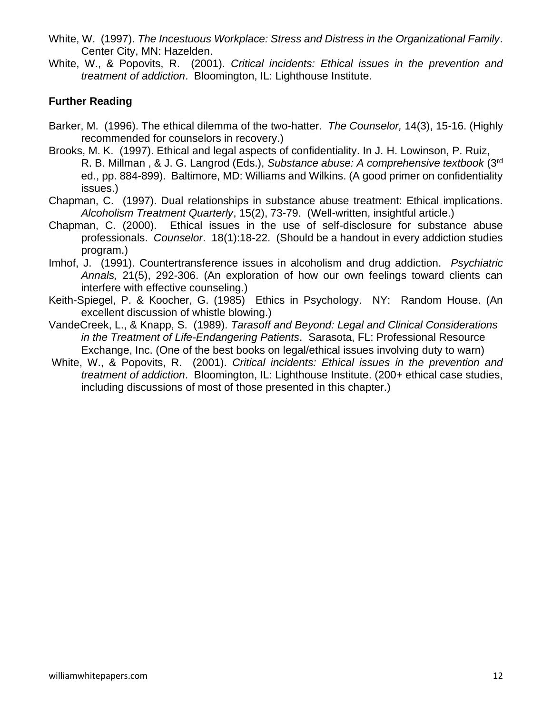- White, W. (1997). *The Incestuous Workplace: Stress and Distress in the Organizational Family*. Center City, MN: Hazelden.
- White, W., & Popovits, R. (2001). *Critical incidents: Ethical issues in the prevention and treatment of addiction*. Bloomington, IL: Lighthouse Institute.

# **Further Reading**

- Barker, M. (1996). The ethical dilemma of the two-hatter. *The Counselor,* 14(3), 15-16. (Highly recommended for counselors in recovery.)
- Brooks, M. K. (1997). Ethical and legal aspects of confidentiality. In J. H. Lowinson, P. Ruiz, R. B. Millman , & J. G. Langrod (Eds.), *Substance abuse: A comprehensive textbook* (3rd ed., pp. 884-899). Baltimore, MD: Williams and Wilkins. (A good primer on confidentiality issues.)
- Chapman, C. (1997). Dual relationships in substance abuse treatment: Ethical implications. *Alcoholism Treatment Quarterly*, 15(2), 73-79. (Well-written, insightful article.)
- Chapman, C. (2000). Ethical issues in the use of self-disclosure for substance abuse professionals. *Counselor*. 18(1):18-22. (Should be a handout in every addiction studies program.)
- Imhof, J. (1991). Countertransference issues in alcoholism and drug addiction. *Psychiatric Annals,* 21(5), 292-306. (An exploration of how our own feelings toward clients can interfere with effective counseling.)
- Keith-Spiegel, P. & Koocher, G. (1985) Ethics in Psychology. NY: Random House. (An excellent discussion of whistle blowing.)
- VandeCreek, L., & Knapp, S. (1989). *Tarasoff and Beyond: Legal and Clinical Considerations in the Treatment of Life-Endangering Patients*. Sarasota, FL: Professional Resource Exchange, Inc. (One of the best books on legal/ethical issues involving duty to warn)
- White, W., & Popovits, R. (2001). *Critical incidents: Ethical issues in the prevention and treatment of addiction*. Bloomington, IL: Lighthouse Institute. (200+ ethical case studies, including discussions of most of those presented in this chapter.)